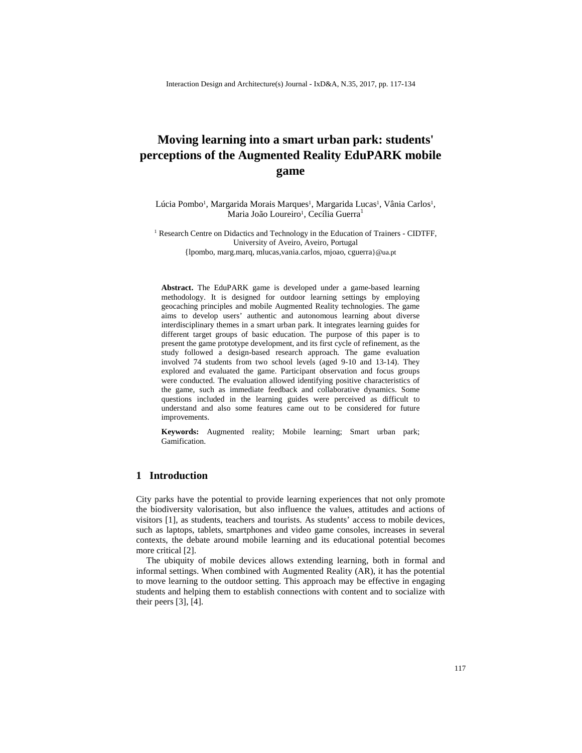# **Moving learning into a smart urban park: students' perceptions of the Augmented Reality EduPARK mobile game**

Lúcia Pombo<sup>1</sup>, Margarida Morais Marques<sup>1</sup>, Margarida Lucas<sup>1</sup>, Vânia Carlos<sup>1</sup>, Maria João Loureiro<sup>1</sup>, Cecília Guerra<sup>1</sup>

<sup>1</sup> Research Centre on Didactics and Technology in the Education of Trainers - CIDTFF, University of Aveiro, Aveiro, Portugal {lpombo, marg.marq, mlucas,vania.carlos, mjoao, cguerra}@ua.pt

**Abstract.** The EduPARK game is developed under a game-based learning methodology. It is designed for outdoor learning settings by employing geocaching principles and mobile Augmented Reality technologies. The game aims to develop users' authentic and autonomous learning about diverse interdisciplinary themes in a smart urban park. It integrates learning guides for different target groups of basic education. The purpose of this paper is to present the game prototype development, and its first cycle of refinement, as the study followed a design-based research approach. The game evaluation involved 74 students from two school levels (aged 9-10 and 13-14). They explored and evaluated the game. Participant observation and focus groups were conducted. The evaluation allowed identifying positive characteristics of the game, such as immediate feedback and collaborative dynamics. Some questions included in the learning guides were perceived as difficult to understand and also some features came out to be considered for future improvements.

**Keywords:** Augmented reality; Mobile learning; Smart urban park; Gamification.

# **1 Introduction**

City parks have the potential to provide learning experiences that not only promote the biodiversity valorisation, but also influence the values, attitudes and actions of visitors [1], as students, teachers and tourists. As students' access to mobile devices, such as laptops, tablets, smartphones and video game consoles, increases in several contexts, the debate around mobile learning and its educational potential becomes more critical [2].

The ubiquity of mobile devices allows extending learning, both in formal and informal settings. When combined with Augmented Reality (AR), it has the potential to move learning to the outdoor setting. This approach may be effective in engaging students and helping them to establish connections with content and to socialize with their peers [3], [4].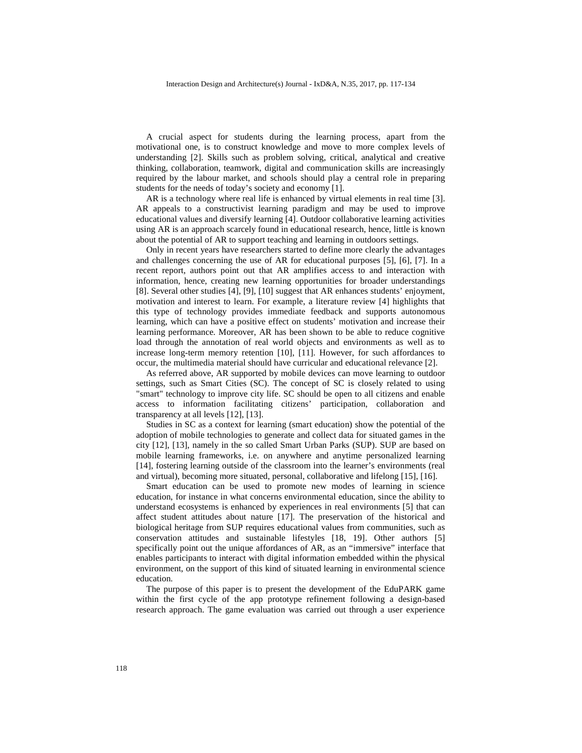A crucial aspect for students during the learning process, apart from the motivational one, is to construct knowledge and move to more complex levels of understanding [2]. Skills such as problem solving, critical, analytical and creative thinking, collaboration, teamwork, digital and communication skills are increasingly required by the labour market, and schools should play a central role in preparing students for the needs of today's society and economy [1].

AR is a technology where real life is enhanced by virtual elements in real time [3]. AR appeals to a constructivist learning paradigm and may be used to improve educational values and diversify learning [4]. Outdoor collaborative learning activities using AR is an approach scarcely found in educational research, hence, little is known about the potential of AR to support teaching and learning in outdoors settings.

Only in recent years have researchers started to define more clearly the advantages and challenges concerning the use of AR for educational purposes [5], [6], [7]. In a recent report, authors point out that AR amplifies access to and interaction with information, hence, creating new learning opportunities for broader understandings [8]. Several other studies [4], [9], [10] suggest that AR enhances students' enjoyment, motivation and interest to learn. For example, a literature review [4] highlights that this type of technology provides immediate feedback and supports autonomous learning, which can have a positive effect on students' motivation and increase their learning performance. Moreover, AR has been shown to be able to reduce cognitive load through the annotation of real world objects and environments as well as to increase long-term memory retention [10], [11]. However, for such affordances to occur, the multimedia material should have curricular and educational relevance [2].

As referred above, AR supported by mobile devices can move learning to outdoor settings, such as Smart Cities (SC). The concept of SC is closely related to using "smart" technology to improve city life. SC should be open to all citizens and enable access to information facilitating citizens' participation, collaboration and transparency at all levels [12], [13].

Studies in SC as a context for learning (smart education) show the potential of the adoption of mobile technologies to generate and collect data for situated games in the city [12], [13], namely in the so called Smart Urban Parks (SUP). SUP are based on mobile learning frameworks, i.e. on anywhere and anytime personalized learning [14], fostering learning outside of the classroom into the learner's environments (real and virtual), becoming more situated, personal, collaborative and lifelong [15], [16].

Smart education can be used to promote new modes of learning in science education, for instance in what concerns environmental education, since the ability to understand ecosystems is enhanced by experiences in real environments [5] that can affect student attitudes about nature [17]. The preservation of the historical and biological heritage from SUP requires educational values from communities, such as conservation attitudes and sustainable lifestyles [18, 19]. Other authors [5] specifically point out the unique affordances of AR, as an "immersive" interface that enables participants to interact with digital information embedded within the physical environment, on the support of this kind of situated learning in environmental science education.

The purpose of this paper is to present the development of the EduPARK game within the first cycle of the app prototype refinement following a design-based research approach. The game evaluation was carried out through a user experience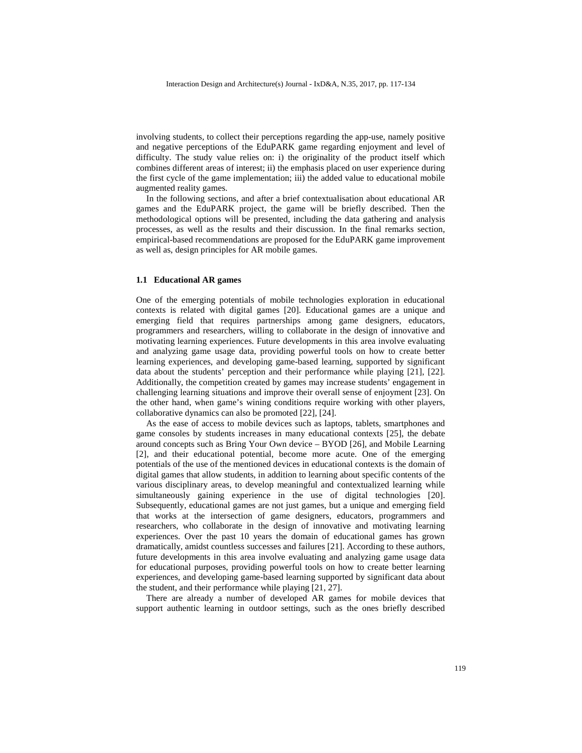involving students, to collect their perceptions regarding the app-use, namely positive and negative perceptions of the EduPARK game regarding enjoyment and level of difficulty. The study value relies on: i) the originality of the product itself which combines different areas of interest; ii) the emphasis placed on user experience during the first cycle of the game implementation; iii) the added value to educational mobile augmented reality games.

In the following sections, and after a brief contextualisation about educational AR games and the EduPARK project, the game will be briefly described. Then the methodological options will be presented, including the data gathering and analysis processes, as well as the results and their discussion. In the final remarks section, empirical-based recommendations are proposed for the EduPARK game improvement as well as, design principles for AR mobile games.

### **1.1 Educational AR games**

One of the emerging potentials of mobile technologies exploration in educational contexts is related with digital games [20]. Educational games are a unique and emerging field that requires partnerships among game designers, educators, programmers and researchers, willing to collaborate in the design of innovative and motivating learning experiences. Future developments in this area involve evaluating and analyzing game usage data, providing powerful tools on how to create better learning experiences, and developing game-based learning, supported by significant data about the students' perception and their performance while playing [21], [22]. Additionally, the competition created by games may increase students' engagement in challenging learning situations and improve their overall sense of enjoyment [23]. On the other hand, when game's wining conditions require working with other players, collaborative dynamics can also be promoted [22], [24].

As the ease of access to mobile devices such as laptops, tablets, smartphones and game consoles by students increases in many educational contexts [25], the debate around concepts such as Bring Your Own device – BYOD [26], and Mobile Learning [2], and their educational potential, become more acute. One of the emerging potentials of the use of the mentioned devices in educational contexts is the domain of digital games that allow students, in addition to learning about specific contents of the various disciplinary areas, to develop meaningful and contextualized learning while simultaneously gaining experience in the use of digital technologies [20]. Subsequently, educational games are not just games, but a unique and emerging field that works at the intersection of game designers, educators, programmers and researchers, who collaborate in the design of innovative and motivating learning experiences. Over the past 10 years the domain of educational games has grown dramatically, amidst countless successes and failures [21]. According to these authors, future developments in this area involve evaluating and analyzing game usage data for educational purposes, providing powerful tools on how to create better learning experiences, and developing game-based learning supported by significant data about the student, and their performance while playing [21, 27].

There are already a number of developed AR games for mobile devices that support authentic learning in outdoor settings, such as the ones briefly described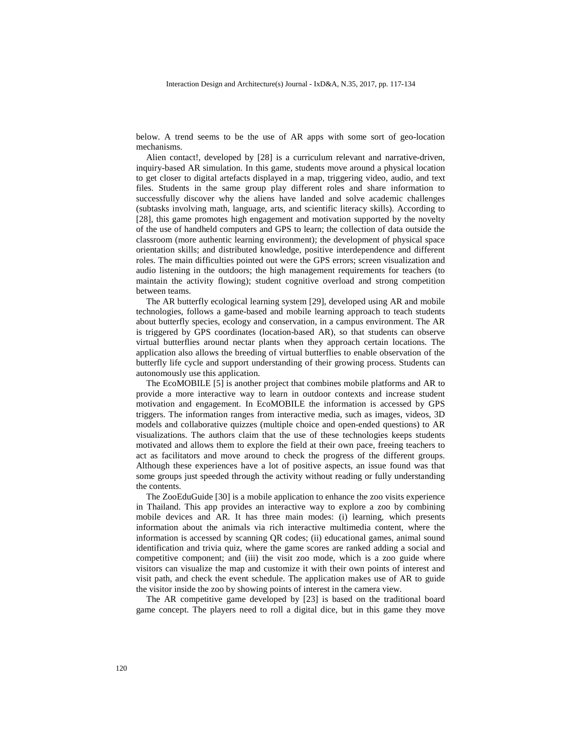below. A trend seems to be the use of AR apps with some sort of geo-location mechanisms.

Alien contact!, developed by [28] is a curriculum relevant and narrative-driven, inquiry-based AR simulation. In this game, students move around a physical location to get closer to digital artefacts displayed in a map, triggering video, audio, and text files. Students in the same group play different roles and share information to successfully discover why the aliens have landed and solve academic challenges (subtasks involving math, language, arts, and scientific literacy skills). According to [28], this game promotes high engagement and motivation supported by the novelty of the use of handheld computers and GPS to learn; the collection of data outside the classroom (more authentic learning environment); the development of physical space orientation skills; and distributed knowledge, positive interdependence and different roles. The main difficulties pointed out were the GPS errors; screen visualization and audio listening in the outdoors; the high management requirements for teachers (to maintain the activity flowing); student cognitive overload and strong competition between teams.

The AR butterfly ecological learning system [29], developed using AR and mobile technologies, follows a game-based and mobile learning approach to teach students about butterfly species, ecology and conservation, in a campus environment. The AR is triggered by GPS coordinates (location-based AR), so that students can observe virtual butterflies around nectar plants when they approach certain locations. The application also allows the breeding of virtual butterflies to enable observation of the butterfly life cycle and support understanding of their growing process. Students can autonomously use this application.

The EcoMOBILE [5] is another project that combines mobile platforms and AR to provide a more interactive way to learn in outdoor contexts and increase student motivation and engagement. In EcoMOBILE the information is accessed by GPS triggers. The information ranges from interactive media, such as images, videos, 3D models and collaborative quizzes (multiple choice and open-ended questions) to AR visualizations. The authors claim that the use of these technologies keeps students motivated and allows them to explore the field at their own pace, freeing teachers to act as facilitators and move around to check the progress of the different groups. Although these experiences have a lot of positive aspects, an issue found was that some groups just speeded through the activity without reading or fully understanding the contents.

The ZooEduGuide [30] is a mobile application to enhance the zoo visits experience in Thailand. This app provides an interactive way to explore a zoo by combining mobile devices and AR. It has three main modes: (i) learning, which presents information about the animals via rich interactive multimedia content, where the information is accessed by scanning QR codes; (ii) educational games, animal sound identification and trivia quiz, where the game scores are ranked adding a social and competitive component; and (iii) the visit zoo mode, which is a zoo guide where visitors can visualize the map and customize it with their own points of interest and visit path, and check the event schedule. The application makes use of AR to guide the visitor inside the zoo by showing points of interest in the camera view.

The AR competitive game developed by [23] is based on the traditional board game concept. The players need to roll a digital dice, but in this game they move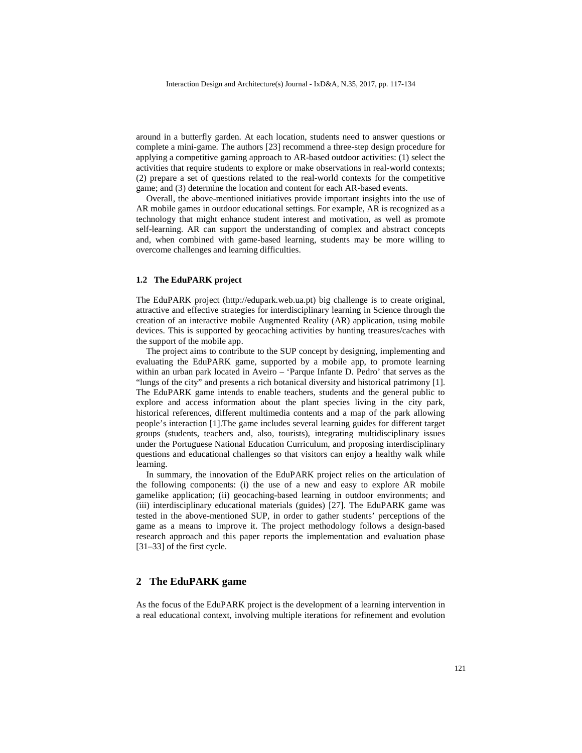around in a butterfly garden. At each location, students need to answer questions or complete a mini-game. The authors [23] recommend a three-step design procedure for applying a competitive gaming approach to AR-based outdoor activities: (1) select the activities that require students to explore or make observations in real-world contexts; (2) prepare a set of questions related to the real-world contexts for the competitive game; and (3) determine the location and content for each AR-based events.

Overall, the above-mentioned initiatives provide important insights into the use of AR mobile games in outdoor educational settings. For example, AR is recognized as a technology that might enhance student interest and motivation, as well as promote self-learning. AR can support the understanding of complex and abstract concepts and, when combined with game-based learning, students may be more willing to overcome challenges and learning difficulties.

### **1.2 The EduPARK project**

The EduPARK project (http://edupark.web.ua.pt) big challenge is to create original, attractive and effective strategies for interdisciplinary learning in Science through the creation of an interactive mobile Augmented Reality (AR) application, using mobile devices. This is supported by geocaching activities by hunting treasures/caches with the support of the mobile app.

The project aims to contribute to the SUP concept by designing, implementing and evaluating the EduPARK game, supported by a mobile app, to promote learning within an urban park located in Aveiro – 'Parque Infante D. Pedro' that serves as the "lungs of the city" and presents a rich botanical diversity and historical patrimony [1]. The EduPARK game intends to enable teachers, students and the general public to explore and access information about the plant species living in the city park, historical references, different multimedia contents and a map of the park allowing people's interaction [1].The game includes several learning guides for different target groups (students, teachers and, also, tourists), integrating multidisciplinary issues under the Portuguese National Education Curriculum, and proposing interdisciplinary questions and educational challenges so that visitors can enjoy a healthy walk while learning.

In summary, the innovation of the EduPARK project relies on the articulation of the following components: (i) the use of a new and easy to explore AR mobile gamelike application; (ii) geocaching-based learning in outdoor environments; and (iii) interdisciplinary educational materials (guides) [27]. The EduPARK game was tested in the above-mentioned SUP, in order to gather students' perceptions of the game as a means to improve it. The project methodology follows a design-based research approach and this paper reports the implementation and evaluation phase [31–33] of the first cycle.

### **2 The EduPARK game**

As the focus of the EduPARK project is the development of a learning intervention in a real educational context, involving multiple iterations for refinement and evolution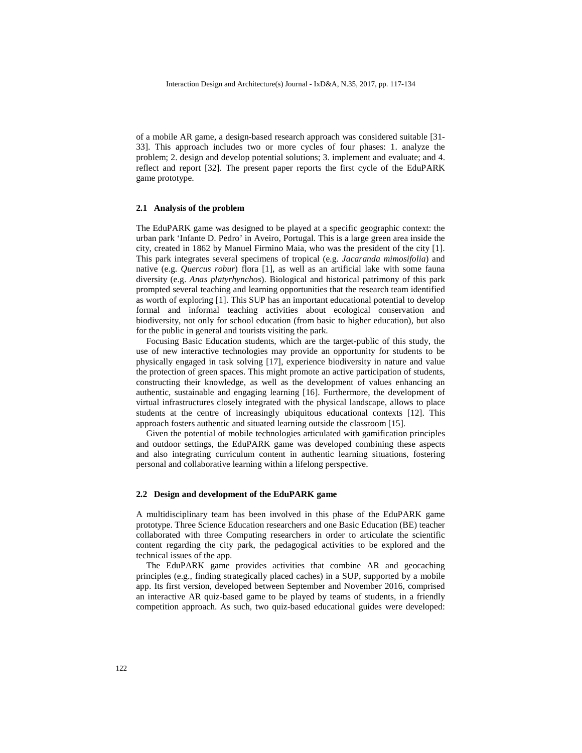of a mobile AR game, a design-based research approach was considered suitable [31- 33]. This approach includes two or more cycles of four phases: 1. analyze the problem; 2. design and develop potential solutions; 3. implement and evaluate; and 4. reflect and report [32]. The present paper reports the first cycle of the EduPARK game prototype.

#### **2.1 Analysis of the problem**

The EduPARK game was designed to be played at a specific geographic context: the urban park 'Infante D. Pedro' in Aveiro, Portugal. This is a large green area inside the city, created in 1862 by Manuel Firmino Maia, who was the president of the city [1]. This park integrates several specimens of tropical (e.g. *Jacaranda mimosifolia*) and native (e.g. *Quercus robur*) flora [1], as well as an artificial lake with some fauna diversity (e.g. *Anas platyrhynchos*). Biological and historical patrimony of this park prompted several teaching and learning opportunities that the research team identified as worth of exploring [1]. This SUP has an important educational potential to develop formal and informal teaching activities about ecological conservation and biodiversity, not only for school education (from basic to higher education), but also for the public in general and tourists visiting the park.

Focusing Basic Education students, which are the target-public of this study, the use of new interactive technologies may provide an opportunity for students to be physically engaged in task solving [17], experience biodiversity in nature and value the protection of green spaces. This might promote an active participation of students, constructing their knowledge, as well as the development of values enhancing an authentic, sustainable and engaging learning [16]. Furthermore, the development of virtual infrastructures closely integrated with the physical landscape, allows to place students at the centre of increasingly ubiquitous educational contexts [12]. This approach fosters authentic and situated learning outside the classroom [15].

Given the potential of mobile technologies articulated with gamification principles and outdoor settings, the EduPARK game was developed combining these aspects and also integrating curriculum content in authentic learning situations, fostering personal and collaborative learning within a lifelong perspective.

### **2.2 Design and development of the EduPARK game**

A multidisciplinary team has been involved in this phase of the EduPARK game prototype. Three Science Education researchers and one Basic Education (BE) teacher collaborated with three Computing researchers in order to articulate the scientific content regarding the city park, the pedagogical activities to be explored and the technical issues of the app.

The EduPARK game provides activities that combine AR and geocaching principles (e.g., finding strategically placed caches) in a SUP, supported by a mobile app. Its first version, developed between September and November 2016, comprised an interactive AR quiz-based game to be played by teams of students, in a friendly competition approach. As such, two quiz-based educational guides were developed: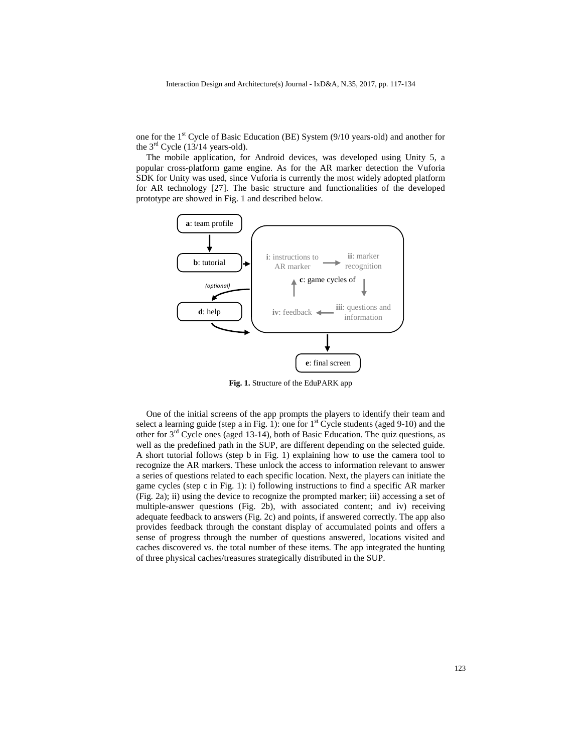one for the  $1<sup>st</sup>$  Cycle of Basic Education (BE) System (9/10 years-old) and another for the  $3<sup>rd</sup>$  Cycle (13/14 years-old).

The mobile application, for Android devices, was developed using Unity 5, a popular cross-platform game engine. As for the AR marker detection the Vuforia SDK for Unity was used, since Vuforia is currently the most widely adopted platform for AR technology [27]. The basic structure and functionalities of the developed prototype are showed in Fig. 1 and described below.



**Fig. 1.** Structure of the EduPARK app

One of the initial screens of the app prompts the players to identify their team and select a learning guide (step a in Fig. 1): one for  $1<sup>st</sup>$  Cycle students (aged 9-10) and the other for 3rd Cycle ones (aged 13-14), both of Basic Education. The quiz questions, as well as the predefined path in the SUP, are different depending on the selected guide. A short tutorial follows (step b in Fig. 1) explaining how to use the camera tool to recognize the AR markers. These unlock the access to information relevant to answer a series of questions related to each specific location. Next, the players can initiate the game cycles (step c in Fig. 1): i) following instructions to find a specific AR marker (Fig. 2a); ii) using the device to recognize the prompted marker; iii) accessing a set of multiple-answer questions (Fig. 2b), with associated content; and iv) receiving adequate feedback to answers (Fig. 2c) and points, if answered correctly. The app also provides feedback through the constant display of accumulated points and offers a sense of progress through the number of questions answered, locations visited and caches discovered vs. the total number of these items. The app integrated the hunting of three physical caches/treasures strategically distributed in the SUP.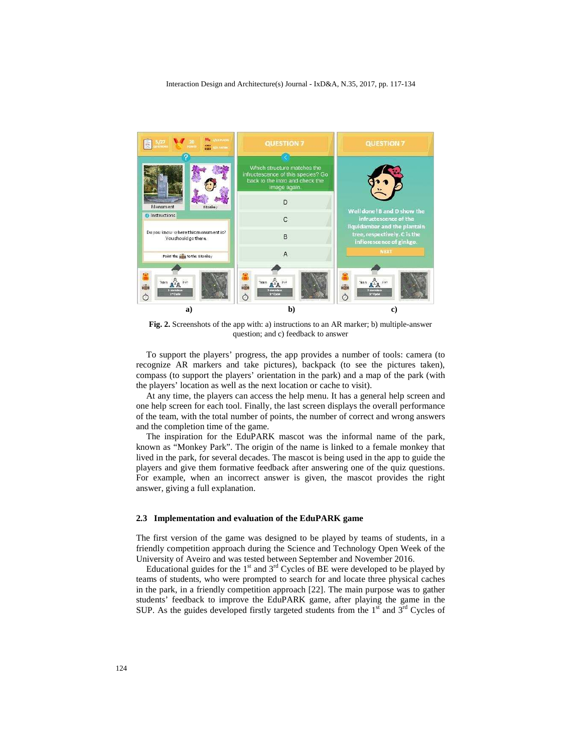

**Fig. 2.** Screenshots of the app with: a) instructions to an AR marker; b) multiple-answer question; and c) feedback to answer

To support the players' progress, the app provides a number of tools: camera (to recognize AR markers and take pictures), backpack (to see the pictures taken), compass (to support the players' orientation in the park) and a map of the park (with the players' location as well as the next location or cache to visit).

At any time, the players can access the help menu. It has a general help screen and one help screen for each tool. Finally, the last screen displays the overall performance of the team, with the total number of points, the number of correct and wrong answers and the completion time of the game.

The inspiration for the EduPARK mascot was the informal name of the park, known as "Monkey Park". The origin of the name is linked to a female monkey that lived in the park, for several decades. The mascot is being used in the app to guide the players and give them formative feedback after answering one of the quiz questions. For example, when an incorrect answer is given, the mascot provides the right answer, giving a full explanation.

#### **2.3 Implementation and evaluation of the EduPARK game**

The first version of the game was designed to be played by teams of students, in a friendly competition approach during the Science and Technology Open Week of the University of Aveiro and was tested between September and November 2016.

Educational guides for the  $1<sup>st</sup>$  and  $3<sup>rd</sup>$  Cycles of BE were developed to be played by teams of students, who were prompted to search for and locate three physical caches in the park, in a friendly competition approach [22]. The main purpose was to gather students' feedback to improve the EduPARK game, after playing the game in the SUP. As the guides developed firstly targeted students from the  $1<sup>st</sup>$  and  $3<sup>rd</sup>$  Cycles of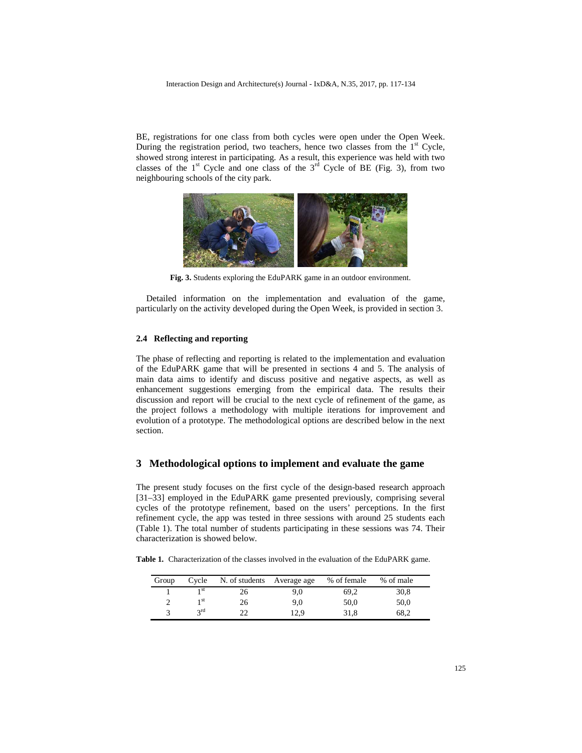BE, registrations for one class from both cycles were open under the Open Week. During the registration period, two teachers, hence two classes from the  $1<sup>st</sup>$  Cycle, showed strong interest in participating. As a result, this experience was held with two classes of the  $1<sup>st</sup>$  Cycle and one class of the  $3<sup>rd</sup>$  Cycle of BE (Fig. 3), from two neighbouring schools of the city park.



**Fig. 3.** Students exploring the EduPARK game in an outdoor environment.

Detailed information on the implementation and evaluation of the game, particularly on the activity developed during the Open Week, is provided in section 3.

### **2.4 Reflecting and reporting**

The phase of reflecting and reporting is related to the implementation and evaluation of the EduPARK game that will be presented in sections 4 and 5. The analysis of main data aims to identify and discuss positive and negative aspects, as well as enhancement suggestions emerging from the empirical data. The results their discussion and report will be crucial to the next cycle of refinement of the game, as the project follows a methodology with multiple iterations for improvement and evolution of a prototype. The methodological options are described below in the next section.

# **3 Methodological options to implement and evaluate the game**

The present study focuses on the first cycle of the design-based research approach [31–33] employed in the EduPARK game presented previously, comprising several cycles of the prototype refinement, based on the users' perceptions. In the first refinement cycle, the app was tested in three sessions with around 25 students each (Table 1). The total number of students participating in these sessions was 74. Their characterization is showed below.

**Table 1.** Characterization of the classes involved in the evaluation of the EduPARK game.

| Group | Cycle | N. of students | Average age | % of female | % of male |
|-------|-------|----------------|-------------|-------------|-----------|
|       | 1 St  | 26             | 9,0         | 69.2        | 30,8      |
|       | 1 St  | 26             | 9,0         | 50,0        | 50,0      |
|       | 2rd   |                | 12.9        | 31.8        | 68.2      |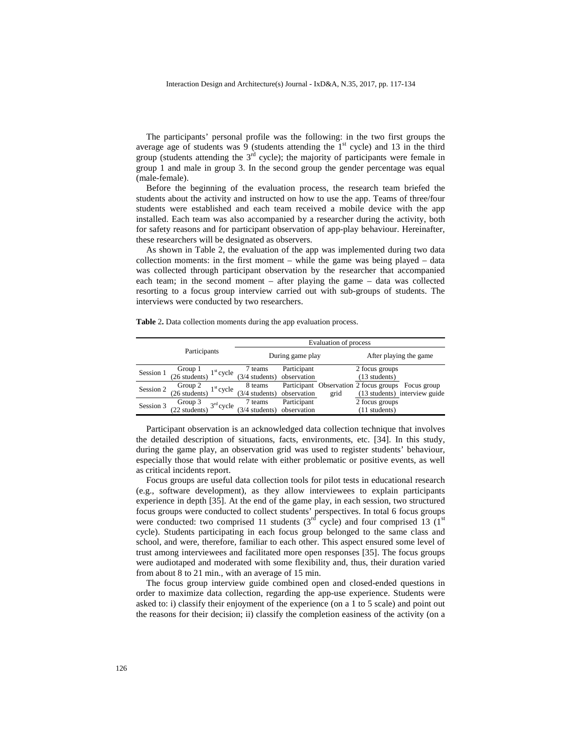The participants' personal profile was the following: in the two first groups the average age of students was 9 (students attending the  $1<sup>st</sup>$  cycle) and 13 in the third group (students attending the  $3<sup>rd</sup>$  cycle); the majority of participants were female in group 1 and male in group 3. In the second group the gender percentage was equal (male-female).

Before the beginning of the evaluation process, the research team briefed the students about the activity and instructed on how to use the app. Teams of three/four students were established and each team received a mobile device with the app installed. Each team was also accompanied by a researcher during the activity, both for safety reasons and for participant observation of app-play behaviour. Hereinafter, these researchers will be designated as observers.

As shown in Table 2, the evaluation of the app was implemented during two data collection moments: in the first moment – while the game was being played – data was collected through participant observation by the researcher that accompanied each team; in the second moment – after playing the game – data was collected resorting to a focus group interview carried out with sub-groups of students. The interviews were conducted by two researchers.

|           |                                             | Evaluation of process      |             |                        |                                                    |  |  |
|-----------|---------------------------------------------|----------------------------|-------------|------------------------|----------------------------------------------------|--|--|
|           | Participants                                | During game play           |             | After playing the game |                                                    |  |  |
| Session 1 | Group 1<br>(26 students)<br>$1st$ cycle     | 7 teams                    | Participant |                        | 2 focus groups                                     |  |  |
|           |                                             | (3/4 students) observation |             |                        | $(13$ students)                                    |  |  |
| Session 2 | Group 2<br>(26 students)<br>$1st$ cycle     | 8 teams                    |             |                        | Participant Observation 2 focus groups Focus group |  |  |
|           |                                             | (3/4 students) observation |             | grid                   | (13 students) interview guide                      |  |  |
| Session 3 | Group 3<br>(22 students) $3$<br>$3rd$ cycle | 7 teams                    | Participant |                        | 2 focus groups                                     |  |  |
|           |                                             | (3/4 students) observation |             |                        | (11 students)                                      |  |  |

**Table** 2**.** Data collection moments during the app evaluation process.

Participant observation is an acknowledged data collection technique that involves the detailed description of situations, facts, environments, etc. [34]. In this study, during the game play, an observation grid was used to register students' behaviour, especially those that would relate with either problematic or positive events, as well as critical incidents report.

Focus groups are useful data collection tools for pilot tests in educational research (e.g., software development), as they allow interviewees to explain participants experience in depth [35]. At the end of the game play, in each session, two structured focus groups were conducted to collect students' perspectives. In total 6 focus groups were conducted: two comprised 11 students ( $3<sup>rd</sup>$  cycle) and four comprised 13 ( $1<sup>st</sup>$ cycle). Students participating in each focus group belonged to the same class and school, and were, therefore, familiar to each other. This aspect ensured some level of trust among interviewees and facilitated more open responses [35]. The focus groups were audiotaped and moderated with some flexibility and, thus, their duration varied from about 8 to 21 min., with an average of 15 min.

The focus group interview guide combined open and closed-ended questions in order to maximize data collection, regarding the app-use experience. Students were asked to: i) classify their enjoyment of the experience (on a 1 to 5 scale) and point out the reasons for their decision; ii) classify the completion easiness of the activity (on a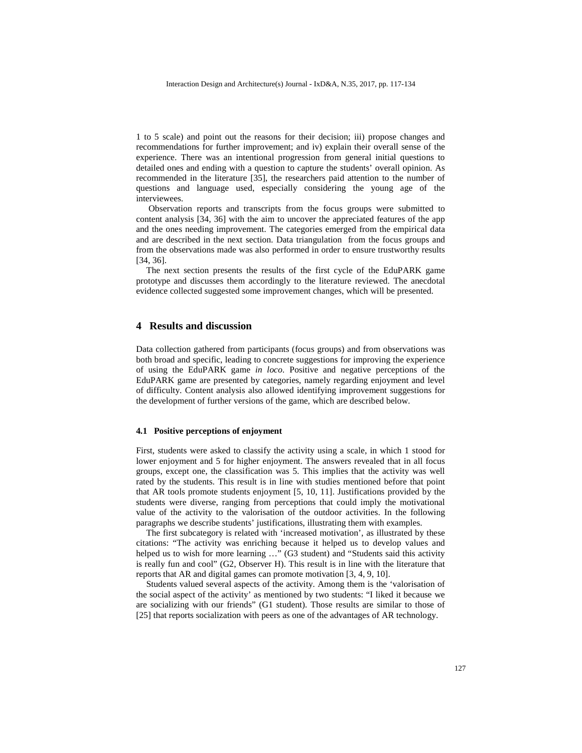1 to 5 scale) and point out the reasons for their decision; iii) propose changes and recommendations for further improvement; and iv) explain their overall sense of the experience. There was an intentional progression from general initial questions to detailed ones and ending with a question to capture the students' overall opinion. As recommended in the literature [35], the researchers paid attention to the number of questions and language used, especially considering the young age of the interviewees.

 Observation reports and transcripts from the focus groups were submitted to content analysis [34, 36] with the aim to uncover the appreciated features of the app and the ones needing improvement. The categories emerged from the empirical data and are described in the next section. Data triangulation from the focus groups and from the observations made was also performed in order to ensure trustworthy results [34, 36].

The next section presents the results of the first cycle of the EduPARK game prototype and discusses them accordingly to the literature reviewed. The anecdotal evidence collected suggested some improvement changes, which will be presented.

## **4 Results and discussion**

Data collection gathered from participants (focus groups) and from observations was both broad and specific, leading to concrete suggestions for improving the experience of using the EduPARK game *in loco*. Positive and negative perceptions of the EduPARK game are presented by categories, namely regarding enjoyment and level of difficulty. Content analysis also allowed identifying improvement suggestions for the development of further versions of the game, which are described below.

### **4.1 Positive perceptions of enjoyment**

First, students were asked to classify the activity using a scale, in which 1 stood for lower enjoyment and 5 for higher enjoyment. The answers revealed that in all focus groups, except one, the classification was 5. This implies that the activity was well rated by the students. This result is in line with studies mentioned before that point that AR tools promote students enjoyment [5, 10, 11]. Justifications provided by the students were diverse, ranging from perceptions that could imply the motivational value of the activity to the valorisation of the outdoor activities. In the following paragraphs we describe students' justifications, illustrating them with examples.

The first subcategory is related with 'increased motivation', as illustrated by these citations: "The activity was enriching because it helped us to develop values and helped us to wish for more learning ..." (G3 student) and "Students said this activity is really fun and cool" (G2, Observer H). This result is in line with the literature that reports that AR and digital games can promote motivation [3, 4, 9, 10].

Students valued several aspects of the activity. Among them is the 'valorisation of the social aspect of the activity' as mentioned by two students: "I liked it because we are socializing with our friends" (G1 student). Those results are similar to those of [25] that reports socialization with peers as one of the advantages of AR technology.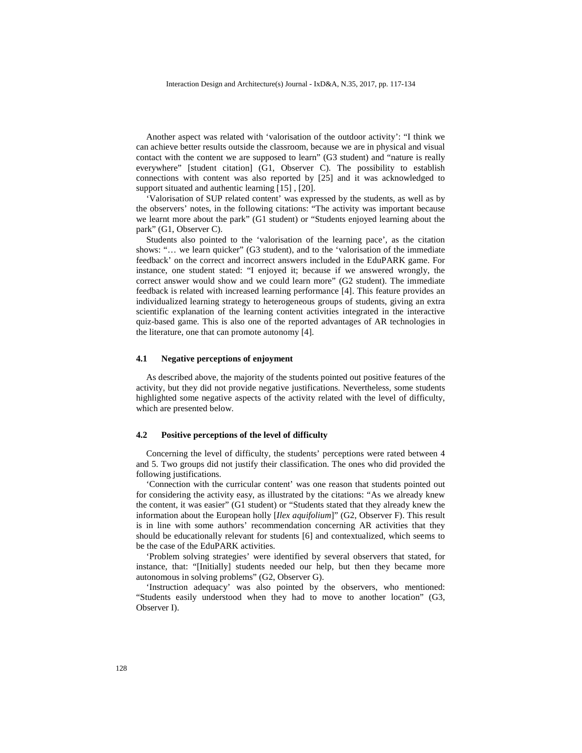Another aspect was related with 'valorisation of the outdoor activity': "I think we can achieve better results outside the classroom, because we are in physical and visual contact with the content we are supposed to learn" (G3 student) and "nature is really everywhere" [student citation] (G1, Observer C). The possibility to establish connections with content was also reported by [25] and it was acknowledged to support situated and authentic learning [15] , [20].

'Valorisation of SUP related content' was expressed by the students, as well as by the observers' notes, in the following citations: "The activity was important because we learnt more about the park" (G1 student) or "Students enjoyed learning about the park" (G1, Observer C).

Students also pointed to the 'valorisation of the learning pace', as the citation shows: "… we learn quicker" (G3 student), and to the 'valorisation of the immediate feedback' on the correct and incorrect answers included in the EduPARK game. For instance, one student stated: "I enjoyed it; because if we answered wrongly, the correct answer would show and we could learn more" (G2 student). The immediate feedback is related with increased learning performance [4]. This feature provides an individualized learning strategy to heterogeneous groups of students, giving an extra scientific explanation of the learning content activities integrated in the interactive quiz-based game. This is also one of the reported advantages of AR technologies in the literature, one that can promote autonomy [4].

### **4.1 Negative perceptions of enjoyment**

As described above, the majority of the students pointed out positive features of the activity, but they did not provide negative justifications. Nevertheless, some students highlighted some negative aspects of the activity related with the level of difficulty, which are presented below.

### **4.2 Positive perceptions of the level of difficulty**

Concerning the level of difficulty, the students' perceptions were rated between 4 and 5. Two groups did not justify their classification. The ones who did provided the following justifications.

'Connection with the curricular content' was one reason that students pointed out for considering the activity easy, as illustrated by the citations: "As we already knew the content, it was easier" (G1 student) or "Students stated that they already knew the information about the European holly [*Ilex aquifolium*]" (G2, Observer F). This result is in line with some authors' recommendation concerning AR activities that they should be educationally relevant for students [6] and contextualized, which seems to be the case of the EduPARK activities.

'Problem solving strategies' were identified by several observers that stated, for instance, that: "[Initially] students needed our help, but then they became more autonomous in solving problems" (G2, Observer G).

'Instruction adequacy' was also pointed by the observers, who mentioned: "Students easily understood when they had to move to another location" (G3, Observer I).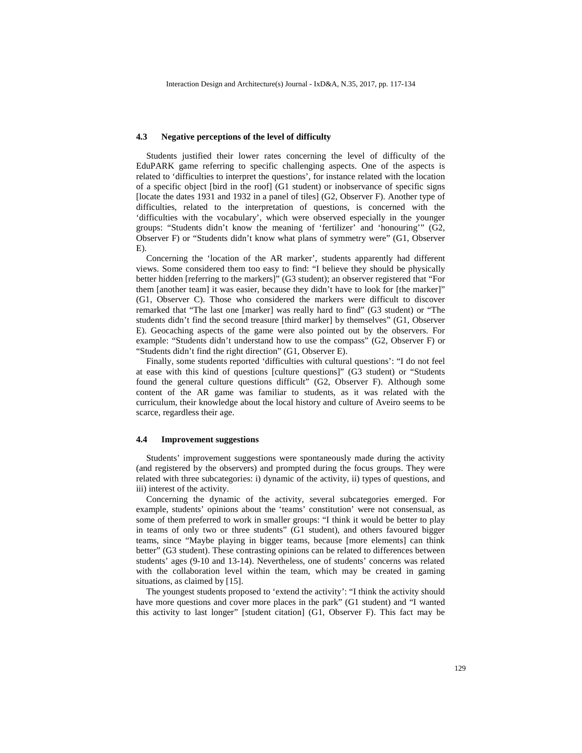### **4.3 Negative perceptions of the level of difficulty**

Students justified their lower rates concerning the level of difficulty of the EduPARK game referring to specific challenging aspects. One of the aspects is related to 'difficulties to interpret the questions', for instance related with the location of a specific object [bird in the roof] (G1 student) or inobservance of specific signs [locate the dates 1931 and 1932 in a panel of tiles] (G2, Observer F). Another type of difficulties, related to the interpretation of questions, is concerned with the 'difficulties with the vocabulary', which were observed especially in the younger groups: "Students didn't know the meaning of 'fertilizer' and 'honouring'" (G2, Observer F) or "Students didn't know what plans of symmetry were" (G1, Observer E).

Concerning the 'location of the AR marker', students apparently had different views. Some considered them too easy to find: "I believe they should be physically better hidden [referring to the markers]" (G3 student); an observer registered that "For them [another team] it was easier, because they didn't have to look for [the marker]" (G1, Observer C). Those who considered the markers were difficult to discover remarked that "The last one [marker] was really hard to find" (G3 student) or "The students didn't find the second treasure [third marker] by themselves" (G1, Observer E). Geocaching aspects of the game were also pointed out by the observers. For example: "Students didn't understand how to use the compass" (G2, Observer F) or "Students didn't find the right direction" (G1, Observer E).

Finally, some students reported 'difficulties with cultural questions': "I do not feel at ease with this kind of questions [culture questions]" (G3 student) or "Students found the general culture questions difficult" (G2, Observer F). Although some content of the AR game was familiar to students, as it was related with the curriculum, their knowledge about the local history and culture of Aveiro seems to be scarce, regardless their age.

### **4.4 Improvement suggestions**

Students' improvement suggestions were spontaneously made during the activity (and registered by the observers) and prompted during the focus groups. They were related with three subcategories: i) dynamic of the activity, ii) types of questions, and iii) interest of the activity.

Concerning the dynamic of the activity, several subcategories emerged. For example, students' opinions about the 'teams' constitution' were not consensual, as some of them preferred to work in smaller groups: "I think it would be better to play in teams of only two or three students" (G1 student), and others favoured bigger teams, since "Maybe playing in bigger teams, because [more elements] can think better" (G3 student). These contrasting opinions can be related to differences between students' ages (9-10 and 13-14). Nevertheless, one of students' concerns was related with the collaboration level within the team, which may be created in gaming situations, as claimed by [15].

The youngest students proposed to 'extend the activity': "I think the activity should have more questions and cover more places in the park" (G1 student) and "I wanted this activity to last longer" [student citation] (G1, Observer F). This fact may be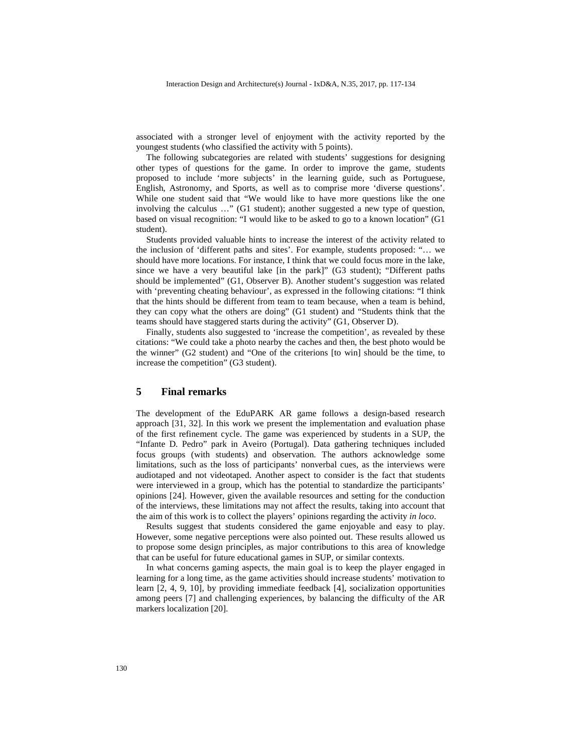associated with a stronger level of enjoyment with the activity reported by the youngest students (who classified the activity with 5 points).

The following subcategories are related with students' suggestions for designing other types of questions for the game. In order to improve the game, students proposed to include 'more subjects' in the learning guide, such as Portuguese, English, Astronomy, and Sports, as well as to comprise more 'diverse questions'. While one student said that "We would like to have more questions like the one involving the calculus …" (G1 student); another suggested a new type of question, based on visual recognition: "I would like to be asked to go to a known location" (G1 student).

Students provided valuable hints to increase the interest of the activity related to the inclusion of 'different paths and sites'. For example, students proposed: "… we should have more locations. For instance, I think that we could focus more in the lake, since we have a very beautiful lake [in the park]" (G3 student); "Different paths should be implemented" (G1, Observer B). Another student's suggestion was related with 'preventing cheating behaviour', as expressed in the following citations: "I think that the hints should be different from team to team because, when a team is behind, they can copy what the others are doing" (G1 student) and "Students think that the teams should have staggered starts during the activity" (G1, Observer D).

Finally, students also suggested to 'increase the competition', as revealed by these citations: "We could take a photo nearby the caches and then, the best photo would be the winner" (G2 student) and "One of the criterions [to win] should be the time, to increase the competition" (G3 student).

## **5 Final remarks**

The development of the EduPARK AR game follows a design-based research approach [31, 32]. In this work we present the implementation and evaluation phase of the first refinement cycle. The game was experienced by students in a SUP, the "Infante D. Pedro" park in Aveiro (Portugal). Data gathering techniques included focus groups (with students) and observation. The authors acknowledge some limitations, such as the loss of participants' nonverbal cues, as the interviews were audiotaped and not videotaped. Another aspect to consider is the fact that students were interviewed in a group, which has the potential to standardize the participants' opinions [24]. However, given the available resources and setting for the conduction of the interviews, these limitations may not affect the results, taking into account that the aim of this work is to collect the players' opinions regarding the activity *in loco*.

Results suggest that students considered the game enjoyable and easy to play. However, some negative perceptions were also pointed out. These results allowed us to propose some design principles, as major contributions to this area of knowledge that can be useful for future educational games in SUP, or similar contexts.

In what concerns gaming aspects, the main goal is to keep the player engaged in learning for a long time, as the game activities should increase students' motivation to learn [2, 4, 9, 10], by providing immediate feedback [4], socialization opportunities among peers [7] and challenging experiences, by balancing the difficulty of the AR markers localization [20].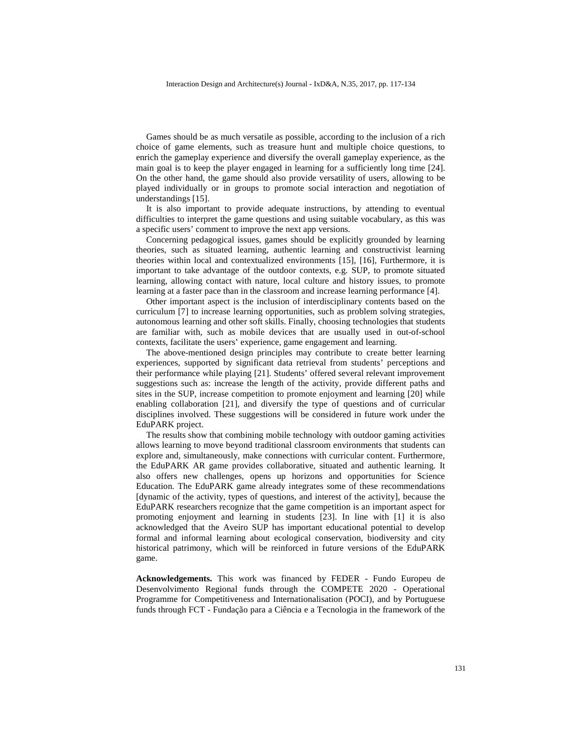Games should be as much versatile as possible, according to the inclusion of a rich choice of game elements, such as treasure hunt and multiple choice questions, to enrich the gameplay experience and diversify the overall gameplay experience, as the main goal is to keep the player engaged in learning for a sufficiently long time [24]. On the other hand, the game should also provide versatility of users, allowing to be played individually or in groups to promote social interaction and negotiation of understandings [15].

It is also important to provide adequate instructions, by attending to eventual difficulties to interpret the game questions and using suitable vocabulary, as this was a specific users' comment to improve the next app versions.

Concerning pedagogical issues, games should be explicitly grounded by learning theories, such as situated learning, authentic learning and constructivist learning theories within local and contextualized environments [15], [16], Furthermore, it is important to take advantage of the outdoor contexts, e.g. SUP, to promote situated learning, allowing contact with nature, local culture and history issues, to promote learning at a faster pace than in the classroom and increase learning performance [4].

Other important aspect is the inclusion of interdisciplinary contents based on the curriculum [7] to increase learning opportunities, such as problem solving strategies, autonomous learning and other soft skills. Finally, choosing technologies that students are familiar with, such as mobile devices that are usually used in out-of-school contexts, facilitate the users' experience, game engagement and learning.

The above-mentioned design principles may contribute to create better learning experiences, supported by significant data retrieval from students' perceptions and their performance while playing [21]. Students' offered several relevant improvement suggestions such as: increase the length of the activity, provide different paths and sites in the SUP, increase competition to promote enjoyment and learning [20] while enabling collaboration [21], and diversify the type of questions and of curricular disciplines involved. These suggestions will be considered in future work under the EduPARK project.

The results show that combining mobile technology with outdoor gaming activities allows learning to move beyond traditional classroom environments that students can explore and, simultaneously, make connections with curricular content. Furthermore, the EduPARK AR game provides collaborative, situated and authentic learning. It also offers new challenges, opens up horizons and opportunities for Science Education. The EduPARK game already integrates some of these recommendations [dynamic of the activity, types of questions, and interest of the activity], because the EduPARK researchers recognize that the game competition is an important aspect for promoting enjoyment and learning in students [23]. In line with [1] it is also acknowledged that the Aveiro SUP has important educational potential to develop formal and informal learning about ecological conservation, biodiversity and city historical patrimony, which will be reinforced in future versions of the EduPARK game.

**Acknowledgements.** This work was financed by FEDER - Fundo Europeu de Desenvolvimento Regional funds through the COMPETE 2020 - Operational Programme for Competitiveness and Internationalisation (POCI), and by Portuguese funds through FCT - Fundação para a Ciência e a Tecnologia in the framework of the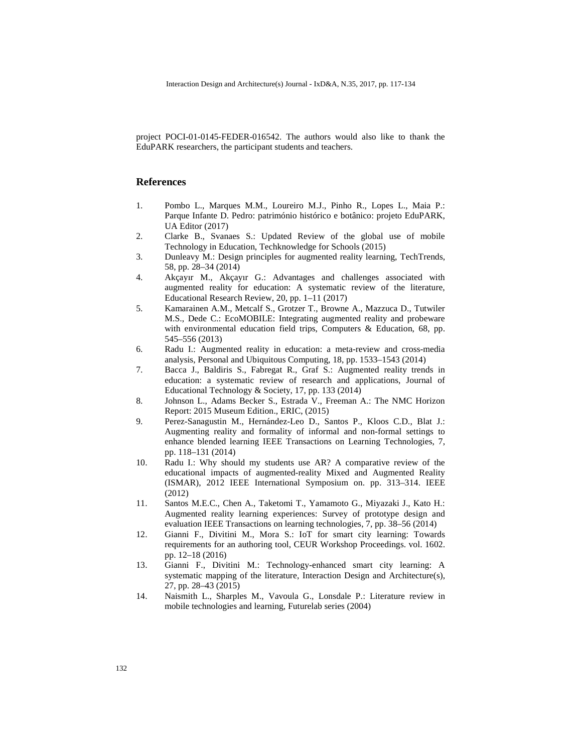project POCI-01-0145-FEDER-016542. The authors would also like to thank the EduPARK researchers, the participant students and teachers.

# **References**

- 1. Pombo L., Marques M.M., Loureiro M.J., Pinho R., Lopes L., Maia P.: Parque Infante D. Pedro: património histórico e botânico: projeto EduPARK, UA Editor (2017)
- 2. Clarke B., Svanaes S.: Updated Review of the global use of mobile Technology in Education, Techknowledge for Schools (2015)
- 3. Dunleavy M.: Design principles for augmented reality learning, TechTrends, 58, pp. 28–34 (2014)
- 4. Akçayır M., Akçayır G.: Advantages and challenges associated with augmented reality for education: A systematic review of the literature, Educational Research Review, 20, pp. 1–11 (2017)
- 5. Kamarainen A.M., Metcalf S., Grotzer T., Browne A., Mazzuca D., Tutwiler M.S., Dede C.: EcoMOBILE: Integrating augmented reality and probeware with environmental education field trips, Computers & Education, 68, pp. 545–556 (2013)
- 6. Radu I.: Augmented reality in education: a meta-review and cross-media analysis, Personal and Ubiquitous Computing, 18, pp. 1533–1543 (2014)
- 7. Bacca J., Baldiris S., Fabregat R., Graf S.: Augmented reality trends in education: a systematic review of research and applications, Journal of Educational Technology & Society, 17, pp. 133 (2014)
- 8. Johnson L., Adams Becker S., Estrada V., Freeman A.: The NMC Horizon Report: 2015 Museum Edition., ERIC, (2015)
- 9. Perez-Sanagustin M., Hernández-Leo D., Santos P., Kloos C.D., Blat J.: Augmenting reality and formality of informal and non-formal settings to enhance blended learning IEEE Transactions on Learning Technologies, 7, pp. 118–131 (2014)
- 10. Radu I.: Why should my students use AR? A comparative review of the educational impacts of augmented-reality Mixed and Augmented Reality (ISMAR), 2012 IEEE International Symposium on. pp. 313–314. IEEE (2012)
- 11. Santos M.E.C., Chen A., Taketomi T., Yamamoto G., Miyazaki J., Kato H.: Augmented reality learning experiences: Survey of prototype design and evaluation IEEE Transactions on learning technologies, 7, pp. 38–56 (2014)
- 12. Gianni F., Divitini M., Mora S.: IoT for smart city learning: Towards requirements for an authoring tool, CEUR Workshop Proceedings. vol. 1602. pp. 12–18 (2016)
- 13. Gianni F., Divitini M.: Technology-enhanced smart city learning: A systematic mapping of the literature, Interaction Design and Architecture(s), 27, pp. 28–43 (2015)
- 14. Naismith L., Sharples M., Vavoula G., Lonsdale P.: Literature review in mobile technologies and learning, Futurelab series (2004)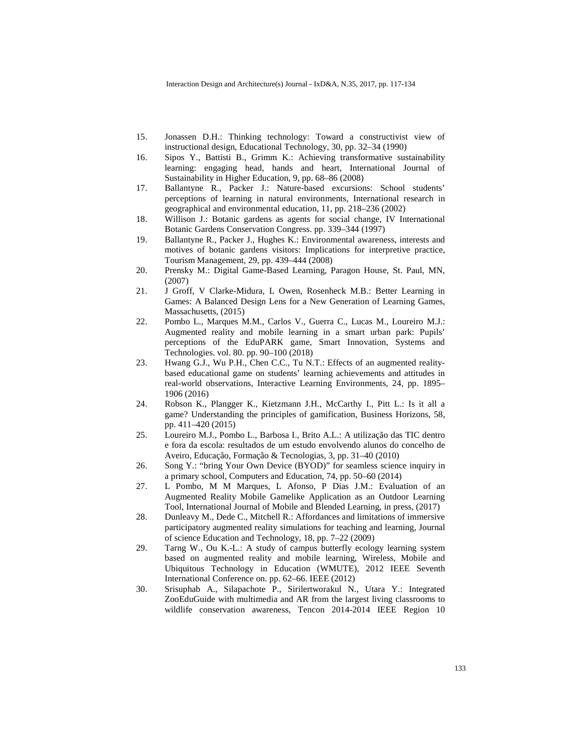- 15. Jonassen D.H.: Thinking technology: Toward a constructivist view of instructional design, Educational Technology, 30, pp. 32–34 (1990)
- 16. Sipos Y., Battisti B., Grimm K.: Achieving transformative sustainability learning: engaging head, hands and heart, International Journal of Sustainability in Higher Education, 9, pp. 68–86 (2008)
- 17. Ballantyne R., Packer J.: Nature-based excursions: School students' perceptions of learning in natural environments, International research in geographical and environmental education, 11, pp. 218–236 (2002)
- 18. Willison J.: Botanic gardens as agents for social change, IV International Botanic Gardens Conservation Congress. pp. 339–344 (1997)
- 19. Ballantyne R., Packer J., Hughes K.: Environmental awareness, interests and motives of botanic gardens visitors: Implications for interpretive practice, Tourism Management, 29, pp. 439–444 (2008)
- 20. Prensky M.: Digital Game-Based Learning, Paragon House, St. Paul, MN, (2007)
- 21. J Groff, V Clarke-Midura, L Owen, Rosenheck M.B.: Better Learning in Games: A Balanced Design Lens for a New Generation of Learning Games, Massachusetts, (2015)
- 22. Pombo L., Marques M.M., Carlos V., Guerra C., Lucas M., Loureiro M.J.: Augmented reality and mobile learning in a smart urban park: Pupils' perceptions of the EduPARK game, Smart Innovation, Systems and Technologies. vol. 80. pp. 90–100 (2018)
- 23. Hwang G.J., Wu P.H., Chen C.C., Tu N.T.: Effects of an augmented realitybased educational game on students' learning achievements and attitudes in real-world observations, Interactive Learning Environments, 24, pp. 1895– 1906 (2016)
- 24. Robson K., Plangger K., Kietzmann J.H., McCarthy I., Pitt L.: Is it all a game? Understanding the principles of gamification, Business Horizons, 58, pp. 411–420 (2015)
- 25. Loureiro M.J., Pombo L., Barbosa I., Brito A.L.: A utilização das TIC dentro e fora da escola: resultados de um estudo envolvendo alunos do concelho de Aveiro, Educação, Formação & Tecnologias, 3, pp. 31–40 (2010)
- 26. Song Y.: "bring Your Own Device (BYOD)" for seamless science inquiry in a primary school, Computers and Education, 74, pp. 50–60 (2014)
- 27. L Pombo, M M Marques, L Afonso, P Dias J.M.: Evaluation of an Augmented Reality Mobile Gamelike Application as an Outdoor Learning Tool, International Journal of Mobile and Blended Learning, in press, (2017)
- 28. Dunleavy M., Dede C., Mitchell R.: Affordances and limitations of immersive participatory augmented reality simulations for teaching and learning, Journal of science Education and Technology, 18, pp. 7–22 (2009)
- 29. Tarng W., Ou K.-L.: A study of campus butterfly ecology learning system based on augmented reality and mobile learning, Wireless, Mobile and Ubiquitous Technology in Education (WMUTE), 2012 IEEE Seventh International Conference on. pp. 62–66. IEEE (2012)
- 30. Srisuphab A., Silapachote P., Sirilertworakul N., Utara Y.: Integrated ZooEduGuide with multimedia and AR from the largest living classrooms to wildlife conservation awareness, Tencon 2014-2014 IEEE Region 10